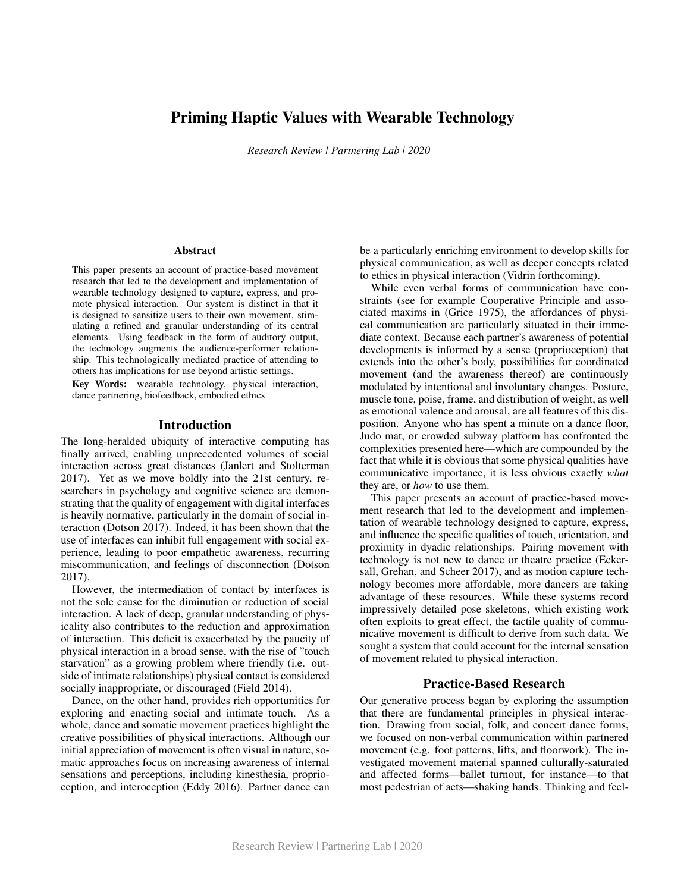# Priming Haptic Values with Wearable Technology

#### **Abstract**

This paper presents an account of practice-based movement research that led to the development and implementation of wearable technology designed to capture, express, and promote physical interaction. Our system is distinct in that it is designed to sensitize users to their own movement, stimulating a refined and granular understanding of its central elements. Using feedback in the form of auditory output, the technology augments the audience-performer relationship. This technologically mediated practice of attending to others has implications for use beyond artistic settings.

Key Words: wearable technology, physical interaction, dance partnering, biofeedback, embodied ethics

#### Introduction

The long-heralded ubiquity of interactive computing has finally arrived, enabling unprecedented volumes of social interaction across great distances (Janlert and Stolterman 2017). Yet as we move boldly into the 21st century, researchers in psychology and cognitive science are demonstrating that the quality of engagement with digital interfaces is heavily normative, particularly in the domain of social interaction (Dotson 2017). Indeed, it has been shown that the use of interfaces can inhibit full engagement with social experience, leading to poor empathetic awareness, recurring miscommunication, and feelings of disconnection (Dotson 2017).

However, the intermediation of contact by interfaces is not the sole cause for the diminution or reduction of social interaction. A lack of deep, granular understanding of physicality also contributes to the reduction and approximation of interaction. This deficit is exacerbated by the paucity of physical interaction in a broad sense, with the rise of "touch starvation" as a growing problem where friendly (i.e. outside of intimate relationships) physical contact is considered socially inappropriate, or discouraged (Field 2014).

Dance, on the other hand, provides rich opportunities for exploring and enacting social and intimate touch. As a whole, dance and somatic movement practices highlight the creative possibilities of physical interactions. Although our initial appreciation of movement is often visual in nature, somatic approaches focus on increasing awareness of internal sensations and perceptions, including kinesthesia, proprioception, and interoception (Eddy 2016). Partner dance can be a particularly enriching environment to develop skills for physical communication, as well as deeper concepts related to ethics in physical interaction (Vidrin forthcoming).

While even verbal forms of communication have constraints (see for example Cooperative Principle and associated maxims in (Grice 1975), the affordances of physical communication are particularly situated in their immediate context. Because each partner's awareness of potential developments is informed by a sense (proprioception) that extends into the other's body, possibilities for coordinated movement (and the awareness thereof) are continuously modulated by intentional and involuntary changes. Posture, muscle tone, poise, frame, and distribution of weight, as well as emotional valence and arousal, are all features of this disposition. Anyone who has spent a minute on a dance floor, Judo mat, or crowded subway platform has confronted the complexities presented here—which are compounded by the fact that while it is obvious that some physical qualities have communicative importance, it is less obvious exactly *what* they are, or *how* to use them. Research Review | Partnering Lab | 2020<br>
loce-based movement<br>
physical communication<br>
is distinct in that it<br>
strains (see Ios)<br>
with even<br>
is it scentis, and provide the strains (see Ios)<br>
and any invested maximic scenari

This paper presents an account of practice-based movement research that led to the development and implementation of wearable technology designed to capture, express, and influence the specific qualities of touch, orientation, and proximity in dyadic relationships. Pairing movement with technology is not new to dance or theatre practice (Eckersall, Grehan, and Scheer 2017), and as motion capture technology becomes more affordable, more dancers are taking advantage of these resources. While these systems record impressively detailed pose skeletons, which existing work often exploits to great effect, the tactile quality of communicative movement is difficult to derive from such data. We sought a system that could account for the internal sensation of movement related to physical interaction.

## Practice-Based Research

Our generative process began by exploring the assumption that there are fundamental principles in physical interaction. Drawing from social, folk, and concert dance forms, we focused on non-verbal communication within partnered movement (e.g. foot patterns, lifts, and floorwork). The investigated movement material spanned culturally-saturated and affected forms—ballet turnout, for instance—to that most pedestrian of acts—shaking hands. Thinking and feel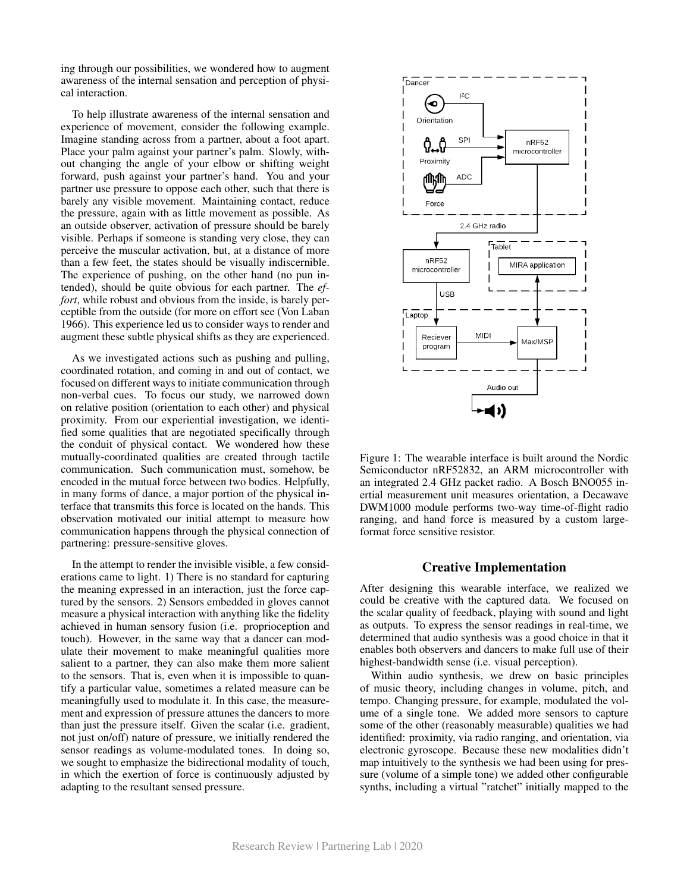ing through our possibilities, we wondered how to augment awareness of the internal sensation and perception of physical interaction.

To help illustrate awareness of the internal sensation and experience of movement, consider the following example. Imagine standing across from a partner, about a foot apart. Place your palm against your partner's palm. Slowly, without changing the angle of your elbow or shifting weight forward, push against your partner's hand. You and your partner use pressure to oppose each other, such that there is barely any visible movement. Maintaining contact, reduce the pressure, again with as little movement as possible. As an outside observer, activation of pressure should be barely visible. Perhaps if someone is standing very close, they can perceive the muscular activation, but, at a distance of more than a few feet, the states should be visually indiscernible. The experience of pushing, on the other hand (no pun intended), should be quite obvious for each partner. The *effort*, while robust and obvious from the inside, is barely perceptible from the outside (for more on effort see (Von Laban 1966). This experience led us to consider ways to render and augment these subtle physical shifts as they are experienced.

As we investigated actions such as pushing and pulling, coordinated rotation, and coming in and out of contact, we focused on different ways to initiate communication through non-verbal cues. To focus our study, we narrowed down on relative position (orientation to each other) and physical proximity. From our experiential investigation, we identified some qualities that are negotiated specifically through the conduit of physical contact. We wondered how these mutually-coordinated qualities are created through tactile communication. Such communication must, somehow, be encoded in the mutual force between two bodies. Helpfully, in many forms of dance, a major portion of the physical interface that transmits this force is located on the hands. This observation motivated our initial attempt to measure how communication happens through the physical connection of partnering: pressure-sensitive gloves.

In the attempt to render the invisible visible, a few considerations came to light. 1) There is no standard for capturing the meaning expressed in an interaction, just the force captured by the sensors. 2) Sensors embedded in gloves cannot measure a physical interaction with anything like the fidelity achieved in human sensory fusion (i.e. proprioception and touch). However, in the same way that a dancer can modulate their movement to make meaningful qualities more salient to a partner, they can also make them more salient to the sensors. That is, even when it is impossible to quantify a particular value, sometimes a related measure can be meaningfully used to modulate it. In this case, the measurement and expression of pressure attunes the dancers to more than just the pressure itself. Given the scalar (i.e. gradient, not just on/off) nature of pressure, we initially rendered the sensor readings as volume-modulated tones. In doing so, we sought to emphasize the bidirectional modality of touch, in which the exertion of force is continuously adjusted by adapting to the resultant sensed pressure.



Figure 1: The wearable interface is built around the Nordic Semiconductor nRF52832, an ARM microcontroller with an integrated 2.4 GHz packet radio. A Bosch BNO055 inertial measurement unit measures orientation, a Decawave DWM1000 module performs two-way time-of-flight radio ranging, and hand force is measured by a custom largeformat force sensitive resistor.

#### Creative Implementation

After designing this wearable interface, we realized we could be creative with the captured data. We focused on the scalar quality of feedback, playing with sound and light as outputs. To express the sensor readings in real-time, we determined that audio synthesis was a good choice in that it enables both observers and dancers to make full use of their highest-bandwidth sense (i.e. visual perception).

Within audio synthesis, we drew on basic principles of music theory, including changes in volume, pitch, and tempo. Changing pressure, for example, modulated the volume of a single tone. We added more sensors to capture some of the other (reasonably measurable) qualities we had identified: proximity, via radio ranging, and orientation, via electronic gyroscope. Because these new modalities didn't map intuitively to the synthesis we had been using for pressure (volume of a simple tone) we added other configurable synths, including a virtual "ratchet" initially mapped to the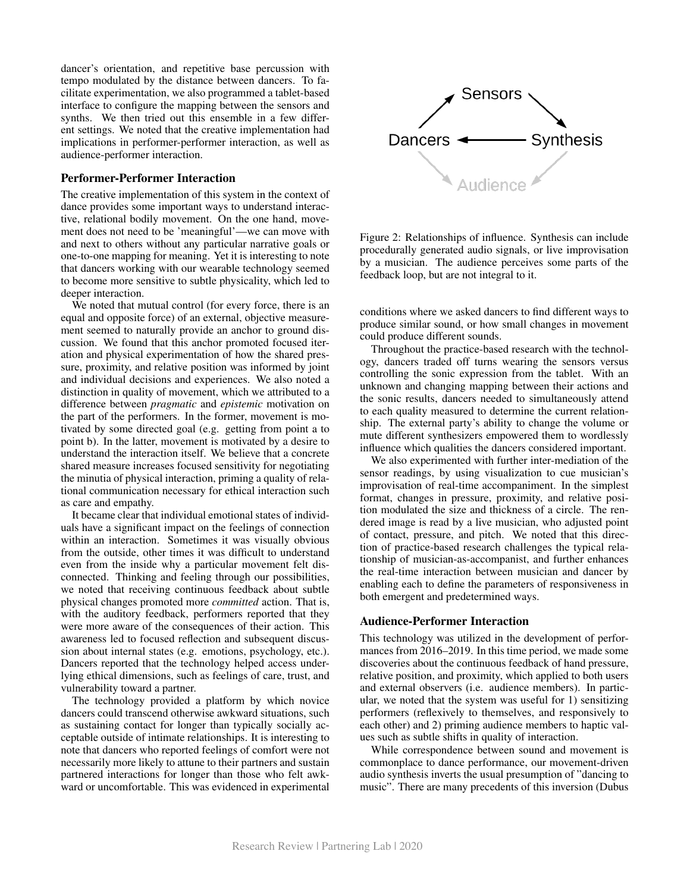dancer's orientation, and repetitive base percussion with tempo modulated by the distance between dancers. To facilitate experimentation, we also programmed a tablet-based interface to configure the mapping between the sensors and synths. We then tried out this ensemble in a few different settings. We noted that the creative implementation had implications in performer-performer interaction, as well as audience-performer interaction.

## Performer-Performer Interaction

The creative implementation of this system in the context of dance provides some important ways to understand interactive, relational bodily movement. On the one hand, movement does not need to be 'meaningful'—we can move with and next to others without any particular narrative goals or one-to-one mapping for meaning. Yet it is interesting to note that dancers working with our wearable technology seemed to become more sensitive to subtle physicality, which led to deeper interaction.

We noted that mutual control (for every force, there is an equal and opposite force) of an external, objective measurement seemed to naturally provide an anchor to ground discussion. We found that this anchor promoted focused iteration and physical experimentation of how the shared pressure, proximity, and relative position was informed by joint and individual decisions and experiences. We also noted a distinction in quality of movement, which we attributed to a difference between *pragmatic* and *epistemic* motivation on the part of the performers. In the former, movement is motivated by some directed goal (e.g. getting from point a to point b). In the latter, movement is motivated by a desire to understand the interaction itself. We believe that a concrete shared measure increases focused sensitivity for negotiating the minutia of physical interaction, priming a quality of relational communication necessary for ethical interaction such as care and empathy.

It became clear that individual emotional states of individuals have a significant impact on the feelings of connection within an interaction. Sometimes it was visually obvious from the outside, other times it was difficult to understand even from the inside why a particular movement felt disconnected. Thinking and feeling through our possibilities, we noted that receiving continuous feedback about subtle physical changes promoted more *committed* action. That is, with the auditory feedback, performers reported that they were more aware of the consequences of their action. This awareness led to focused reflection and subsequent discussion about internal states (e.g. emotions, psychology, etc.). Dancers reported that the technology helped access underlying ethical dimensions, such as feelings of care, trust, and vulnerability toward a partner.

The technology provided a platform by which novice dancers could transcend otherwise awkward situations, such as sustaining contact for longer than typically socially acceptable outside of intimate relationships. It is interesting to note that dancers who reported feelings of comfort were not necessarily more likely to attune to their partners and sustain partnered interactions for longer than those who felt awkward or uncomfortable. This was evidenced in experimental



Figure 2: Relationships of influence. Synthesis can include procedurally generated audio signals, or live improvisation by a musician. The audience perceives some parts of the feedback loop, but are not integral to it.

conditions where we asked dancers to find different ways to produce similar sound, or how small changes in movement could produce different sounds.

Throughout the practice-based research with the technology, dancers traded off turns wearing the sensors versus controlling the sonic expression from the tablet. With an unknown and changing mapping between their actions and the sonic results, dancers needed to simultaneously attend to each quality measured to determine the current relationship. The external party's ability to change the volume or mute different synthesizers empowered them to wordlessly influence which qualities the dancers considered important.

We also experimented with further inter-mediation of the sensor readings, by using visualization to cue musician's improvisation of real-time accompaniment. In the simplest format, changes in pressure, proximity, and relative position modulated the size and thickness of a circle. The rendered image is read by a live musician, who adjusted point of contact, pressure, and pitch. We noted that this direction of practice-based research challenges the typical relationship of musician-as-accompanist, and further enhances the real-time interaction between musician and dancer by enabling each to define the parameters of responsiveness in both emergent and predetermined ways.

#### Audience-Performer Interaction

This technology was utilized in the development of performances from 2016–2019. In this time period, we made some discoveries about the continuous feedback of hand pressure, relative position, and proximity, which applied to both users and external observers (i.e. audience members). In particular, we noted that the system was useful for 1) sensitizing performers (reflexively to themselves, and responsively to each other) and 2) priming audience members to haptic values such as subtle shifts in quality of interaction.

While correspondence between sound and movement is commonplace to dance performance, our movement-driven audio synthesis inverts the usual presumption of "dancing to music". There are many precedents of this inversion (Dubus